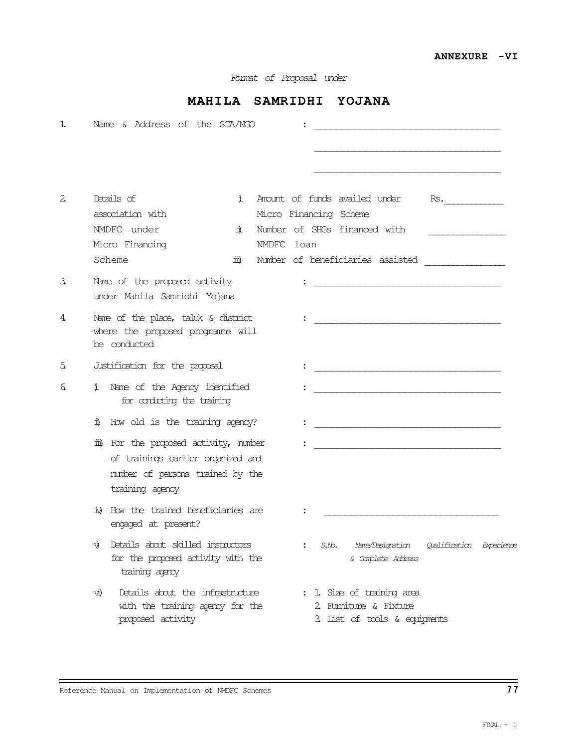Format of Proposal under

## MAHILA SAMRIDHI YOJANA

| ı            | Name & Address of the SCA/NGO                                                                                                       |                                                                                                                                                  |
|--------------|-------------------------------------------------------------------------------------------------------------------------------------|--------------------------------------------------------------------------------------------------------------------------------------------------|
|              |                                                                                                                                     |                                                                                                                                                  |
| $\mathbf{2}$ | Details of<br>ĭ.<br>association with<br>NMDFC under<br>ï<br>Micro Financing<br>Scheme<br>Шù                                         | Amount of funds availed under<br>Rs.<br>Micro Financing Scheme<br>Number of SHGs financed with<br>NMDFC loan<br>Number of beneficiaries assisted |
| 3            | Name of the proposed activity<br>under Mahila Samridhi Yojana                                                                       |                                                                                                                                                  |
| 4            | Nome of the place, taluk $\&$ district<br>where the proposed programme will<br>be conducted                                         |                                                                                                                                                  |
| 5.           | Justification for the proposal                                                                                                      |                                                                                                                                                  |
| 6.           | Name of the Agency identified<br>Ť<br>for conducting the training                                                                   |                                                                                                                                                  |
|              | ï<br>How old is the training agency?                                                                                                |                                                                                                                                                  |
|              | iii) For the proposed activity, number<br>of trainings earlier organized and<br>number of persons trained by the<br>training agency |                                                                                                                                                  |
|              | How the trained beneficiaries are<br>竝<br>engaged at present?                                                                       |                                                                                                                                                  |
|              | Details about skilled instructors<br>VJ<br>for the proposed activity with the<br>training agency                                    | Name/Designation<br>S.No.<br>Qualification Experience<br>& Camplete Address                                                                      |
|              | Details about the infrastructure<br>VШ.<br>with the training agency for the<br>proposed activity                                    | : 1 Size of training area<br>2. Furniture & Fixture<br>3. List of tools & equipments                                                             |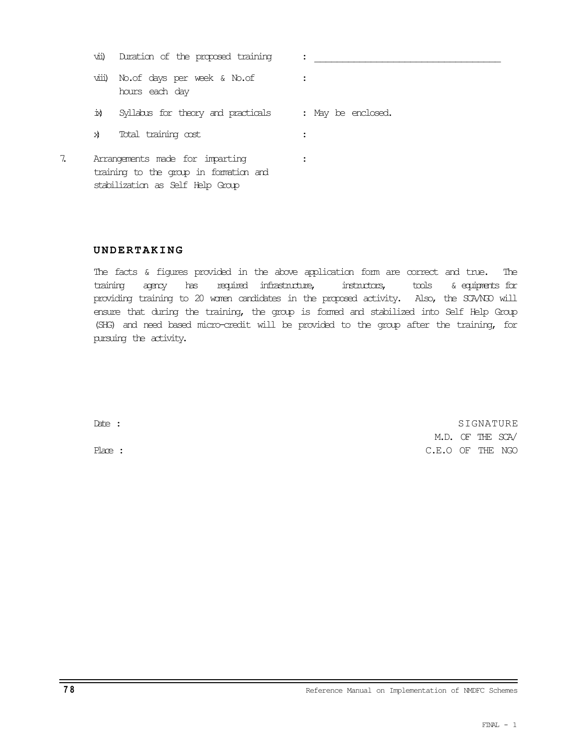|     | vii) Duration of the proposed training                                                                        |                    |
|-----|---------------------------------------------------------------------------------------------------------------|--------------------|
|     | viii) No. of days per week & No. of<br>hours each day                                                         |                    |
| Ŕ.  | Syllabus for theory and practicals                                                                            | : May be enclosed. |
| ΣÌ. | Total training cost                                                                                           |                    |
|     | Arrangements made for imparting<br>training to the group in formation and<br>stabilization as Self Help Group |                    |

## UNDERTAKING

The facts & figures provided in the above application form are correct and true. The training agency has required infrastructure, instructors, tools & equipments for providing training to 20 women candidates in the proposed activity. Also, the SCA/NGO will ensure that during the training, the group is formed and stabilized into Self Help Group (SHG) and need based micro-credit will be provided to the group after the training, for pursuing the activity.

Date : SIGNATURE : SIGNATURE : SIGNATURE : SIGNATURE : SIGNATURE : SIGNATURE : SIGNATURE : SIGNATURE : SIGNATURE : SIGNATURE : SIGNATURE : SIGNATURE : SIGNATURE : SIGNATURE : SIGNATURE : SIGNATURE : SIGNATURE : SIGNATURE : M.D. OF THE SCA/ Place : C.E.O OF THE NGO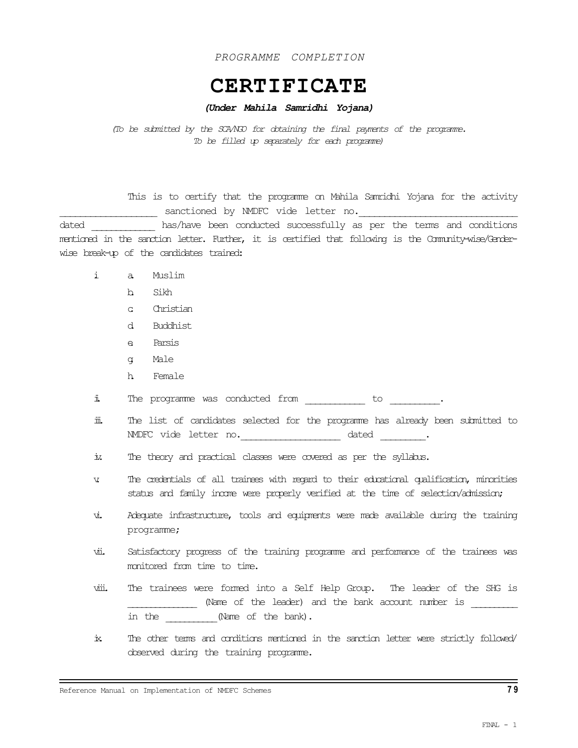PROGRAMME COMPLETION

## CERTIFICATE

## (Under Mahila Samridhi Yojana)

(To be submitted by the SCA/NGO for obtaining the final payments of the programme. To be filled up separately for each programme)

This is to certify that the programme on Mahila Samridhi Yojana for the activity \_\_\_\_\_\_\_\_\_ sanctioned by NMDFC vide letter no.

dated \_\_\_\_\_\_\_\_\_\_\_\_\_ has/have been conducted successfully as per the terms and conditions mentioned in the sanction letter. Further, it is certified that following is the Community-wise/Genderwise break-up of the candidates trained:

- i. a. Muslim
	- b. Sikh
	- c. Christian
	- d. Buddhist
	- e. Parsis
	- g. Male
	- h. Female

ii The programme was conducted from \_\_\_\_\_\_\_\_\_\_ to \_\_\_\_\_\_\_\_.

- iii. The list of candidates selected for the programme has already been submitted to NMDFC vide letter no.  $ddted$   $\qquad \qquad$
- iv. The theory and practical classes were covered as per the syllabus.
- v. The credentials of all trainees with regard to their educational qualification, minorities status and family income were properly verified at the time of selection/admission;
- vi. Adequate infrastructure, tools and equipments were made available during the training programme;
- vii. Satisfactory progress of the training programme and performance of the trainees was monitored from time to time.
- viii. The trainees were formed into a Self Help Group. The leader of the SHG is \_\_\_\_\_\_\_\_\_\_\_\_\_\_ (Name of the leader) and the bank account number is \_\_\_\_\_\_\_\_\_\_\_\_\_ in the  $(Name of the bank)$ .
- ix. The other terms and conditions mentioned in the sanction letter were strictly followed/ observed during the training programme.

Reference Manual on Implementation of NMDFC Schemes 7 9